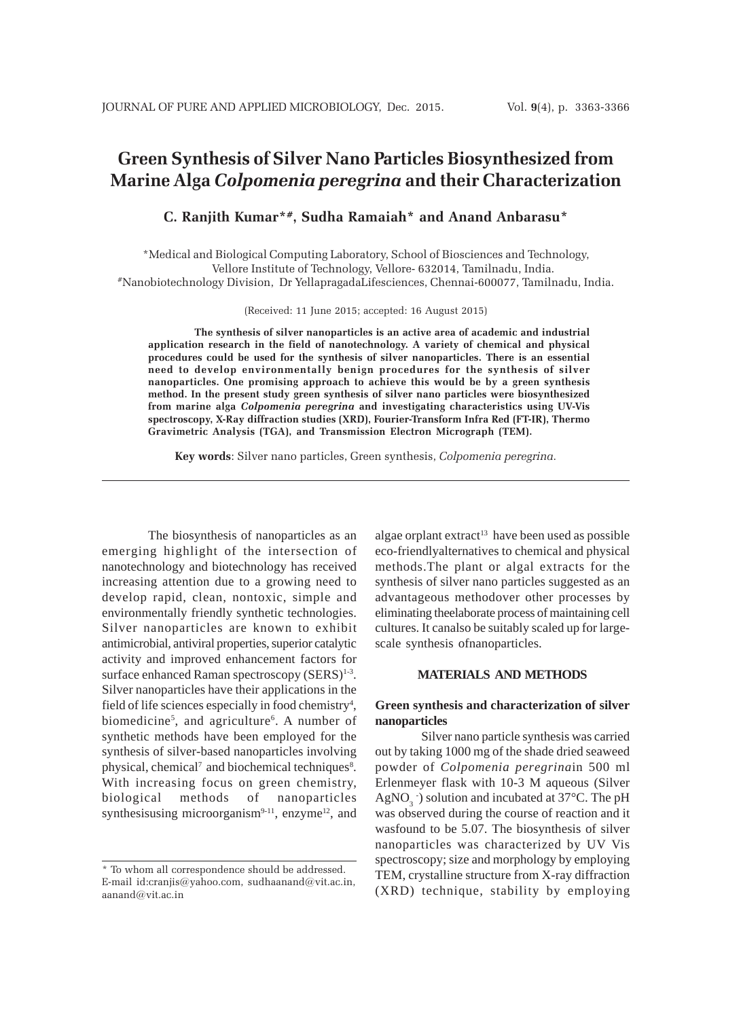# **Green Synthesis of Silver Nano Particles Biosynthesized from Marine Alga** *Colpomenia peregrina* **and their Characterization**

## **C. Ranjith Kumar\*#, Sudha Ramaiah\* and Anand Anbarasu\***

\*Medical and Biological Computing Laboratory, School of Biosciences and Technology, Vellore Institute of Technology, Vellore- 632014, Tamilnadu, India. #Nanobiotechnology Division, Dr YellapragadaLifesciences, Chennai-600077, Tamilnadu, India.

(Received: 11 June 2015; accepted: 16 August 2015)

**The synthesis of silver nanoparticles is an active area of academic and industrial application research in the field of nanotechnology. A variety of chemical and physical procedures could be used for the synthesis of silver nanoparticles. There is an essential need to develop environmentally benign procedures for the synthesis of silver nanoparticles. One promising approach to achieve this would be by a green synthesis method. In the present study green synthesis of silver nano particles were biosynthesized from marine alga** *Colpomenia peregrina* **and investigating characteristics using UV-Vis spectroscopy, X-Ray diffraction studies (XRD), Fourier-Transform Infra Red (FT-IR), Thermo Gravimetric Analysis (TGA), and Transmission Electron Micrograph (TEM).**

**Key words**: Silver nano particles, Green synthesis, *Colpomenia peregrina.*

The biosynthesis of nanoparticles as an emerging highlight of the intersection of nanotechnology and biotechnology has received increasing attention due to a growing need to develop rapid, clean, nontoxic, simple and environmentally friendly synthetic technologies. Silver nanoparticles are known to exhibit antimicrobial, antiviral properties, superior catalytic activity and improved enhancement factors for surface enhanced Raman spectroscopy  $(SERS)^{1-3}$ . Silver nanoparticles have their applications in the field of life sciences especially in food chemistry<sup>4</sup>, biomedicine<sup>5</sup>, and agriculture<sup>6</sup>. A number of synthetic methods have been employed for the synthesis of silver-based nanoparticles involving physical, chemical<sup>7</sup> and biochemical techniques<sup>8</sup>. With increasing focus on green chemistry, biological methods of nanoparticles synthesisusing microorganism $9-11$ , enzyme<sup>12</sup>, and

algae orplant extract<sup>13</sup> have been used as possible eco-friendlyalternatives to chemical and physical methods.The plant or algal extracts for the synthesis of silver nano particles suggested as an advantageous methodover other processes by eliminating theelaborate process of maintaining cell cultures. It canalso be suitably scaled up for largescale synthesis ofnanoparticles.

#### **MATERIALS AND METHODS**

#### **Green synthesis and characterization of silver nanoparticles**

Silver nano particle synthesis was carried out by taking 1000 mg of the shade dried seaweed powder of *Colpomenia peregrina*in 500 ml Erlenmeyer flask with 10-3 M aqueous (Silver AgNO<sub>3</sub>  $\cdot$ ) solution and incubated at 37 $\rm{^{\circ}C}$ . The pH was observed during the course of reaction and it wasfound to be 5.07. The biosynthesis of silver nanoparticles was characterized by UV Vis spectroscopy; size and morphology by employing TEM, crystalline structure from X-ray diffraction (XRD) technique, stability by employing

<sup>\*</sup> To whom all correspondence should be addressed. E-mail id:cranjis@yahoo.com, sudhaanand@vit.ac.in, aanand@vit.ac.in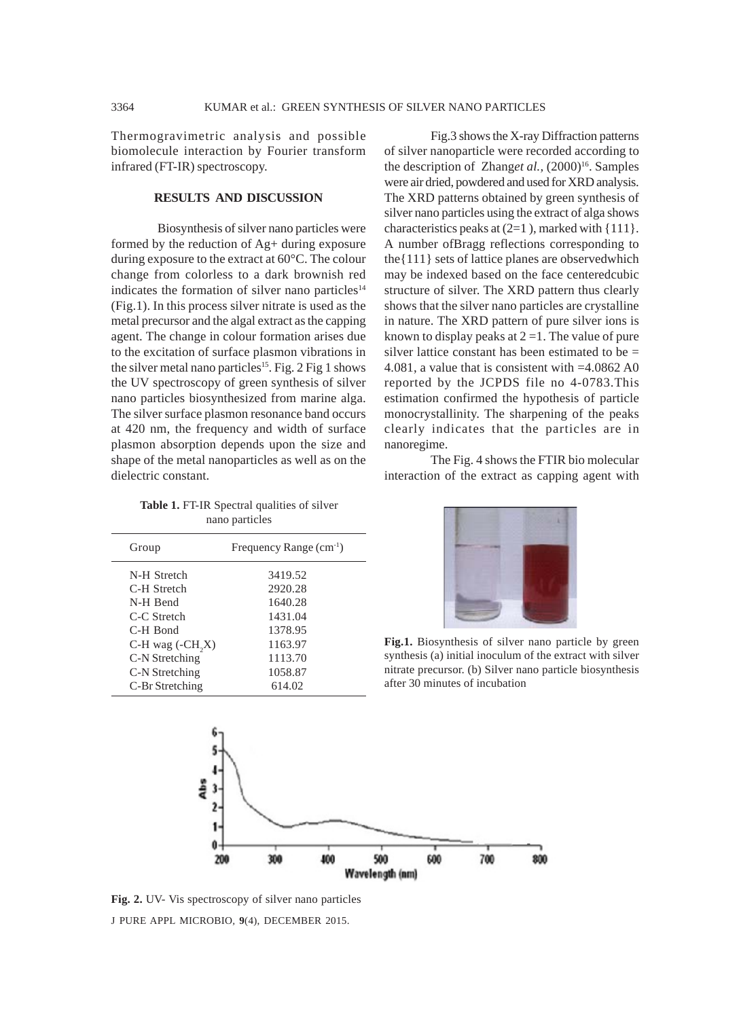Thermogravimetric analysis and possible biomolecule interaction by Fourier transform infrared (FT-IR) spectroscopy.

## **RESULTS AND DISCUSSION**

Biosynthesis of silver nano particles were formed by the reduction of Ag+ during exposure during exposure to the extract at 60°C. The colour change from colorless to a dark brownish red indicates the formation of silver nano particles<sup>14</sup> (Fig.1). In this process silver nitrate is used as the metal precursor and the algal extract as the capping agent. The change in colour formation arises due to the excitation of surface plasmon vibrations in the silver metal nano particles<sup>15</sup>. Fig. 2 Fig 1 shows the UV spectroscopy of green synthesis of silver nano particles biosynthesized from marine alga. The silver surface plasmon resonance band occurs at 420 nm, the frequency and width of surface plasmon absorption depends upon the size and shape of the metal nanoparticles as well as on the dielectric constant.

Fig.3 shows the X-ray Diffraction patterns of silver nanoparticle were recorded according to the description of Zhang*et al.*,  $(2000)^{16}$ . Samples were air dried, powdered and used for XRD analysis. The XRD patterns obtained by green synthesis of silver nano particles using the extract of alga shows characteristics peaks at  $(2=1)$ , marked with  $\{111\}$ . A number ofBragg reflections corresponding to the{111} sets of lattice planes are observedwhich may be indexed based on the face centeredcubic structure of silver. The XRD pattern thus clearly shows that the silver nano particles are crystalline in nature. The XRD pattern of pure silver ions is known to display peaks at  $2 = 1$ . The value of pure silver lattice constant has been estimated to be  $=$ 4.081, a value that is consistent with =4.0862 A0 reported by the JCPDS file no 4-0783.This estimation confirmed the hypothesis of particle monocrystallinity. The sharpening of the peaks clearly indicates that the particles are in nanoregime.

The Fig. 4 shows the FTIR bio molecular interaction of the extract as capping agent with

**Table 1.** FT-IR Spectral qualities of silver nano particles

| Group                        | Frequency Range (cm <sup>-1</sup> ) |
|------------------------------|-------------------------------------|
| N-H Stretch                  | 3419.52                             |
| C-H Stretch                  | 2920.28                             |
| N-H Bend                     | 1640.28                             |
| C-C Stretch                  | 1431.04                             |
| C-H Bond                     | 1378.95                             |
| C-H wag (-CH <sub>2</sub> X) | 1163.97                             |
| C-N Stretching               | 1113.70                             |
| C-N Stretching               | 1058.87                             |
| C-Br Stretching              | 614.02                              |



**Fig.1.** Biosynthesis of silver nano particle by green synthesis (a) initial inoculum of the extract with silver nitrate precursor. (b) Silver nano particle biosynthesis after 30 minutes of incubation



J PURE APPL MICROBIO*,* **9**(4), DECEMBER 2015. **Fig. 2.** UV- Vis spectroscopy of silver nano particles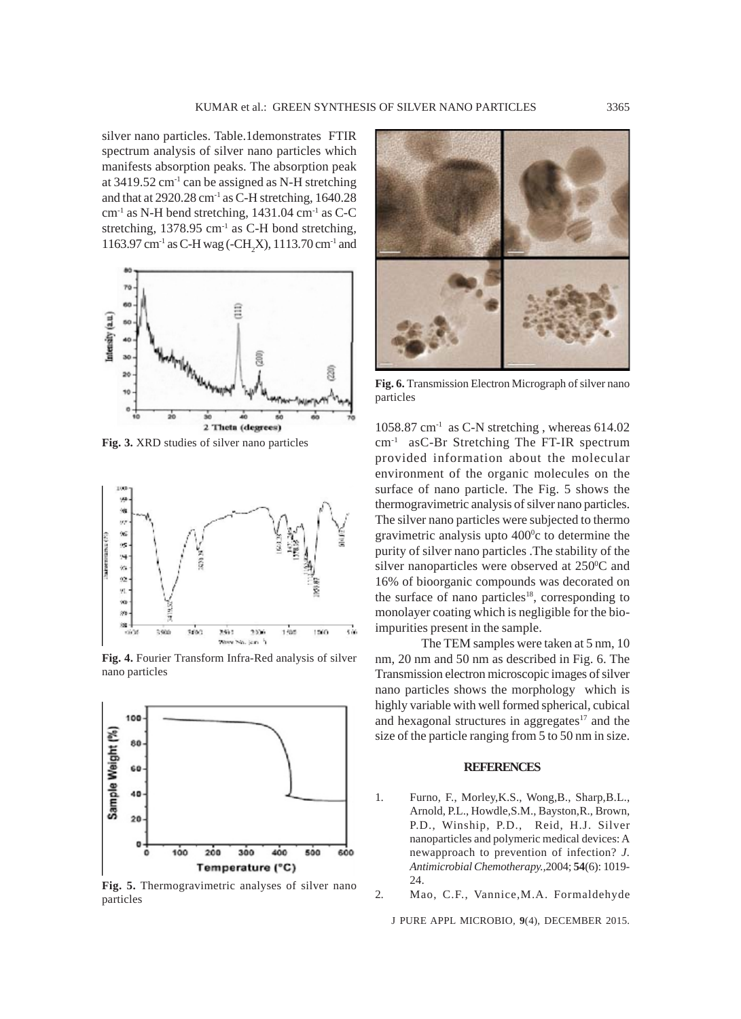silver nano particles. Table.1demonstrates FTIR spectrum analysis of silver nano particles which manifests absorption peaks. The absorption peak at  $3419.52$  cm<sup>-1</sup> can be assigned as N-H stretching and that at  $2920.28$  cm<sup>-1</sup> as C-H stretching, 1640.28  $cm<sup>-1</sup>$  as N-H bend stretching, 1431.04  $cm<sup>-1</sup>$  as C-C stretching, 1378.95 cm<sup>-1</sup> as C-H bond stretching, 1163.97 cm<sup>-1</sup> as C-H wag (-CH<sub>2</sub>X), 1113.70 cm<sup>-1</sup> and



**Fig. 3.** XRD studies of silver nano particles



**Fig. 4.** Fourier Transform Infra-Red analysis of silver nano particles



**Fig. 5.** Thermogravimetric analyses of silver nano particles



**Fig. 6.** Transmission Electron Micrograph of silver nano particles

 $1058.87$  cm<sup>-1</sup> as C-N stretching, whereas 614.02 cm-1 asC-Br Stretching The FT-IR spectrum provided information about the molecular environment of the organic molecules on the surface of nano particle. The Fig. 5 shows the thermogravimetric analysis of silver nano particles. The silver nano particles were subjected to thermo gravimetric analysis upto  $400^{\circ}$ c to determine the purity of silver nano particles .The stability of the silver nanoparticles were observed at  $250^{\circ}$ C and 16% of bioorganic compounds was decorated on the surface of nano particles<sup>18</sup>, corresponding to monolayer coating which is negligible for the bioimpurities present in the sample.

The TEM samples were taken at 5 nm, 10 nm, 20 nm and 50 nm as described in Fig. 6. The Transmission electron microscopic images of silver nano particles shows the morphology which is highly variable with well formed spherical, cubical and hexagonal structures in aggregates<sup>17</sup> and the size of the particle ranging from 5 to 50 nm in size.

#### **REFERENCES**

- 1. Furno, F., Morley,K.S., Wong,B., Sharp,B.L., Arnold, P.L., Howdle,S.M., Bayston,R., Brown, P.D., Winship, P.D., Reid, H.J. Silver nanoparticles and polymeric medical devices: A newapproach to prevention of infection? *J. Antimicrobial Chemotherapy.,*2004; **54**(6): 1019- 24.
- 2. Mao, C.F., Vannice,M.A. Formaldehyde

J PURE APPL MICROBIO*,* **9**(4), DECEMBER 2015.